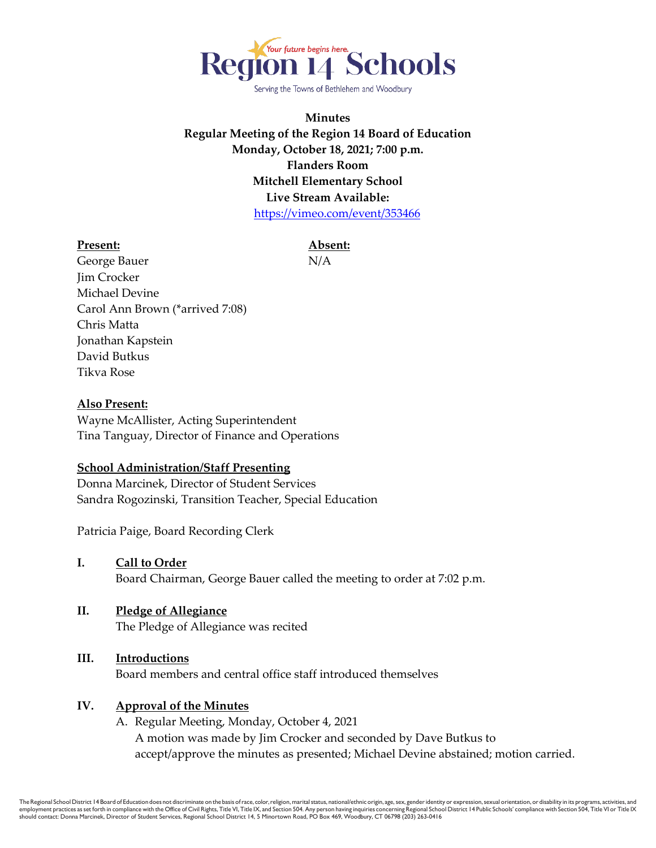

Serving the Towns of Bethlehem and Woodbury

**Minutes Regular Meeting of the Region 14 Board of Education Monday, October 18, 2021; 7:00 p.m. Flanders Room Mitchell Elementary School Live Stream Available:**  <https://vimeo.com/event/353466>

#### **Present: Absent:**

George Bauer N/A **Jim Crocker** Michael Devine Carol Ann Brown (\*arrived 7:08) Chris Matta Jonathan Kapstein David Butkus Tikva Rose

#### **Also Present:**

Wayne McAllister, Acting Superintendent Tina Tanguay, Director of Finance and Operations

#### **School Administration/Staff Presenting**

Donna Marcinek, Director of Student Services Sandra Rogozinski, Transition Teacher, Special Education

Patricia Paige, Board Recording Clerk

- **I. Call to Order** Board Chairman, George Bauer called the meeting to order at 7:02 p.m.
- **II. Pledge of Allegiance** The Pledge of Allegiance was recited

# **III. Introductions**

Board members and central office staff introduced themselves

# **IV. Approval of the Minutes**

A. Regular Meeting, Monday, October 4, 2021 A motion was made by Jim Crocker and seconded by Dave Butkus to accept/approve the minutes as presented; Michael Devine abstained; motion carried.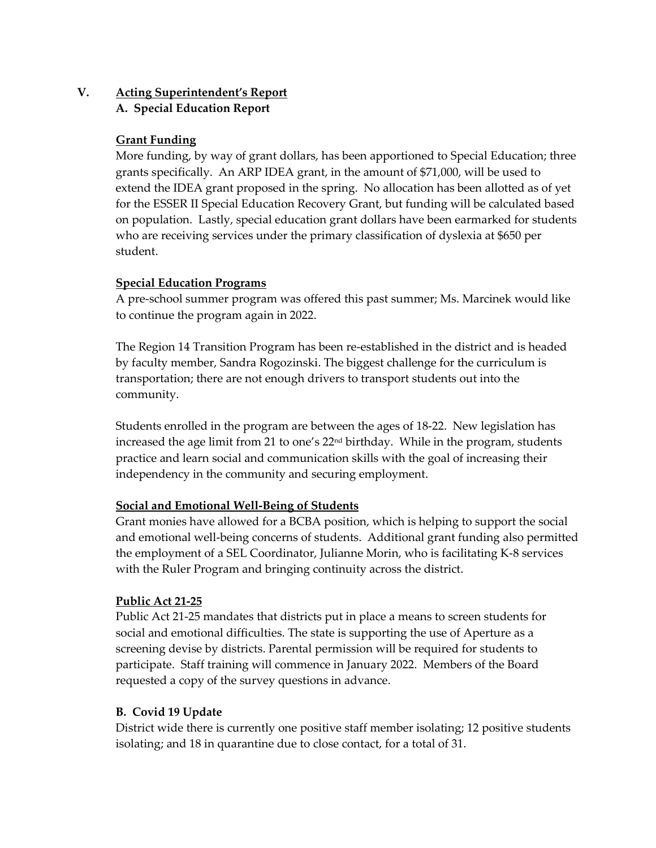# **V. Acting Superintendent's Report A. Special Education Report**

# **Grant Funding**

More funding, by way of grant dollars, has been apportioned to Special Education; three grants specifically. An ARP IDEA grant, in the amount of \$71,000, will be used to extend the IDEA grant proposed in the spring. No allocation has been allotted as of yet for the ESSER II Special Education Recovery Grant, but funding will be calculated based on population. Lastly, special education grant dollars have been earmarked for students who are receiving services under the primary classification of dyslexia at \$650 per student.

#### **Special Education Programs**

A pre-school summer program was offered this past summer; Ms. Marcinek would like to continue the program again in 2022.

The Region 14 Transition Program has been re-established in the district and is headed by faculty member, Sandra Rogozinski. The biggest challenge for the curriculum is transportation; there are not enough drivers to transport students out into the community.

Students enrolled in the program are between the ages of 18-22. New legislation has increased the age limit from 21 to one's 22nd birthday. While in the program, students practice and learn social and communication skills with the goal of increasing their independency in the community and securing employment.

# **Social and Emotional Well-Being of Students**

Grant monies have allowed for a BCBA position, which is helping to support the social and emotional well-being concerns of students. Additional grant funding also permitted the employment of a SEL Coordinator, Julianne Morin, who is facilitating K-8 services with the Ruler Program and bringing continuity across the district.

#### **Public Act 21-25**

Public Act 21-25 mandates that districts put in place a means to screen students for social and emotional difficulties. The state is supporting the use of Aperture as a screening devise by districts. Parental permission will be required for students to participate. Staff training will commence in January 2022. Members of the Board requested a copy of the survey questions in advance.

# **B. Covid 19 Update**

District wide there is currently one positive staff member isolating; 12 positive students isolating; and 18 in quarantine due to close contact, for a total of 31.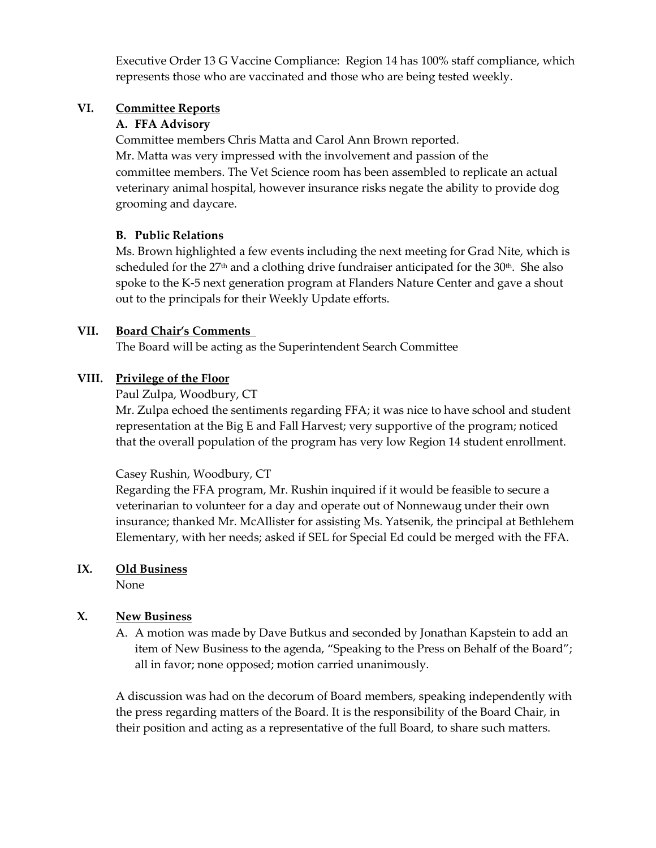Executive Order 13 G Vaccine Compliance: Region 14 has 100% staff compliance, which represents those who are vaccinated and those who are being tested weekly.

#### **VI. Committee Reports**

#### **A. FFA Advisory**

Committee members Chris Matta and Carol Ann Brown reported. Mr. Matta was very impressed with the involvement and passion of the committee members. The Vet Science room has been assembled to replicate an actual veterinary animal hospital, however insurance risks negate the ability to provide dog grooming and daycare.

#### **B. Public Relations**

Ms. Brown highlighted a few events including the next meeting for Grad Nite, which is scheduled for the  $27<sup>th</sup>$  and a clothing drive fundraiser anticipated for the  $30<sup>th</sup>$ . She also spoke to the K-5 next generation program at Flanders Nature Center and gave a shout out to the principals for their Weekly Update efforts.

#### **VII. Board Chair's Comments**

The Board will be acting as the Superintendent Search Committee

#### **VIII. Privilege of the Floor**

Paul Zulpa, Woodbury, CT

Mr. Zulpa echoed the sentiments regarding FFA; it was nice to have school and student representation at the Big E and Fall Harvest; very supportive of the program; noticed that the overall population of the program has very low Region 14 student enrollment.

#### Casey Rushin, Woodbury, CT

Regarding the FFA program, Mr. Rushin inquired if it would be feasible to secure a veterinarian to volunteer for a day and operate out of Nonnewaug under their own insurance; thanked Mr. McAllister for assisting Ms. Yatsenik, the principal at Bethlehem Elementary, with her needs; asked if SEL for Special Ed could be merged with the FFA.

# **IX. Old Business**

None

# **X. New Business**

A. A motion was made by Dave Butkus and seconded by Jonathan Kapstein to add an item of New Business to the agenda, "Speaking to the Press on Behalf of the Board"; all in favor; none opposed; motion carried unanimously.

A discussion was had on the decorum of Board members, speaking independently with the press regarding matters of the Board. It is the responsibility of the Board Chair, in their position and acting as a representative of the full Board, to share such matters.